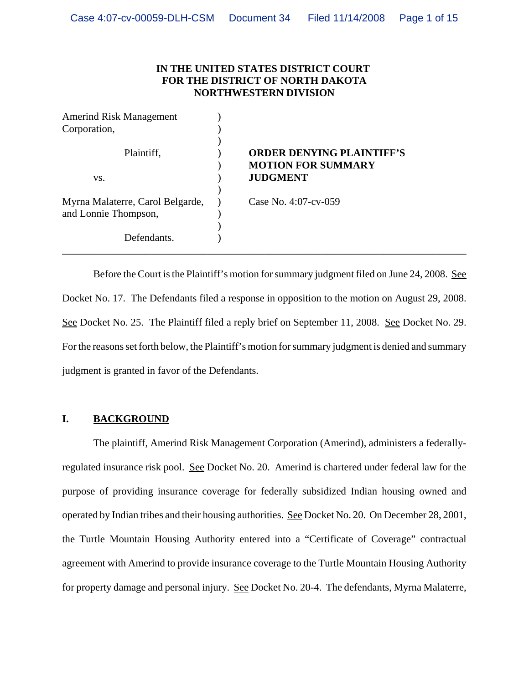## **IN THE UNITED STATES DISTRICT COURT FOR THE DISTRICT OF NORTH DAKOTA NORTHWESTERN DIVISION**

| <b>Amerind Risk Management</b>   |                                                               |
|----------------------------------|---------------------------------------------------------------|
| Corporation,                     |                                                               |
| Plaintiff,                       | <b>ORDER DENYING PLAINTIFF'S</b><br><b>MOTION FOR SUMMARY</b> |
| VS.                              | <b>JUDGMENT</b>                                               |
|                                  |                                                               |
| Myrna Malaterre, Carol Belgarde, | Case No. 4:07-cv-059                                          |
| and Lonnie Thompson,             |                                                               |
|                                  |                                                               |
| Defendants.                      |                                                               |
|                                  |                                                               |

Before the Court is the Plaintiff's motion for summary judgment filed on June 24, 2008. See Docket No. 17. The Defendants filed a response in opposition to the motion on August 29, 2008. See Docket No. 25. The Plaintiff filed a reply brief on September 11, 2008. See Docket No. 29. For the reasons set forth below, the Plaintiff's motion for summary judgment is denied and summary judgment is granted in favor of the Defendants.

# **I. BACKGROUND**

The plaintiff, Amerind Risk Management Corporation (Amerind), administers a federallyregulated insurance risk pool. See Docket No. 20. Amerind is chartered under federal law for the purpose of providing insurance coverage for federally subsidized Indian housing owned and operated by Indian tribes and their housing authorities. See Docket No. 20. On December 28, 2001, the Turtle Mountain Housing Authority entered into a "Certificate of Coverage" contractual agreement with Amerind to provide insurance coverage to the Turtle Mountain Housing Authority for property damage and personal injury. See Docket No. 20-4. The defendants, Myrna Malaterre,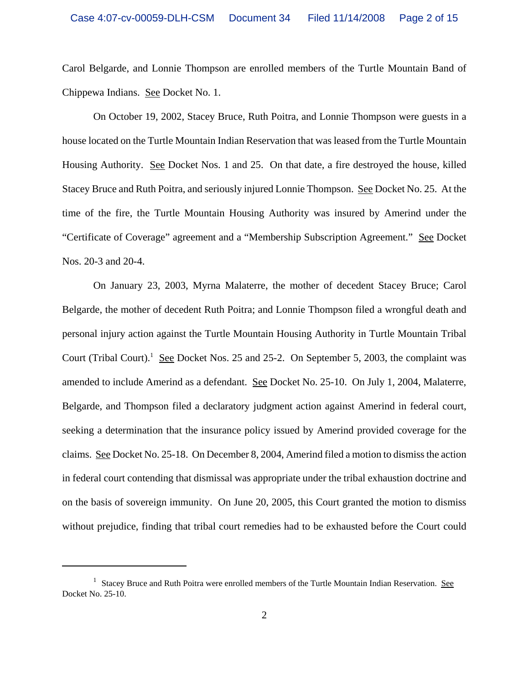Carol Belgarde, and Lonnie Thompson are enrolled members of the Turtle Mountain Band of Chippewa Indians. See Docket No. 1.

On October 19, 2002, Stacey Bruce, Ruth Poitra, and Lonnie Thompson were guests in a house located on the Turtle Mountain Indian Reservation that was leased from the Turtle Mountain Housing Authority. See Docket Nos. 1 and 25. On that date, a fire destroyed the house, killed Stacey Bruce and Ruth Poitra, and seriously injured Lonnie Thompson. See Docket No. 25. At the time of the fire, the Turtle Mountain Housing Authority was insured by Amerind under the "Certificate of Coverage" agreement and a "Membership Subscription Agreement." See Docket Nos. 20-3 and 20-4.

On January 23, 2003, Myrna Malaterre, the mother of decedent Stacey Bruce; Carol Belgarde, the mother of decedent Ruth Poitra; and Lonnie Thompson filed a wrongful death and personal injury action against the Turtle Mountain Housing Authority in Turtle Mountain Tribal Court (Tribal Court).<sup>1</sup> See Docket Nos. 25 and 25-2. On September 5, 2003, the complaint was amended to include Amerind as a defendant. See Docket No. 25-10. On July 1, 2004, Malaterre, Belgarde, and Thompson filed a declaratory judgment action against Amerind in federal court, seeking a determination that the insurance policy issued by Amerind provided coverage for the claims. See Docket No. 25-18. On December 8, 2004, Amerind filed a motion to dismiss the action in federal court contending that dismissal was appropriate under the tribal exhaustion doctrine and on the basis of sovereign immunity. On June 20, 2005, this Court granted the motion to dismiss without prejudice, finding that tribal court remedies had to be exhausted before the Court could

<sup>&</sup>lt;sup>1</sup> Stacey Bruce and Ruth Poitra were enrolled members of the Turtle Mountain Indian Reservation. See Docket No. 25-10.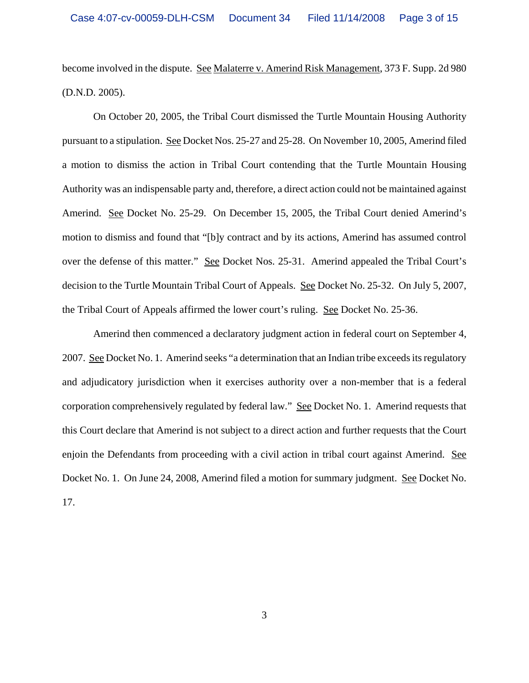become involved in the dispute. See Malaterre v. Amerind Risk Management, 373 F. Supp. 2d 980 (D.N.D. 2005).

On October 20, 2005, the Tribal Court dismissed the Turtle Mountain Housing Authority pursuant to a stipulation. See Docket Nos. 25-27 and 25-28. On November 10, 2005, Amerind filed a motion to dismiss the action in Tribal Court contending that the Turtle Mountain Housing Authority was an indispensable party and, therefore, a direct action could not be maintained against Amerind. See Docket No. 25-29. On December 15, 2005, the Tribal Court denied Amerind's motion to dismiss and found that "[b]y contract and by its actions, Amerind has assumed control over the defense of this matter." See Docket Nos. 25-31. Amerind appealed the Tribal Court's decision to the Turtle Mountain Tribal Court of Appeals. See Docket No. 25-32. On July 5, 2007, the Tribal Court of Appeals affirmed the lower court's ruling. See Docket No. 25-36.

Amerind then commenced a declaratory judgment action in federal court on September 4, 2007. See Docket No. 1. Amerind seeks "a determination that an Indian tribe exceeds its regulatory and adjudicatory jurisdiction when it exercises authority over a non-member that is a federal corporation comprehensively regulated by federal law." See Docket No. 1. Amerind requests that this Court declare that Amerind is not subject to a direct action and further requests that the Court enjoin the Defendants from proceeding with a civil action in tribal court against Amerind. See Docket No. 1. On June 24, 2008, Amerind filed a motion for summary judgment. See Docket No. 17.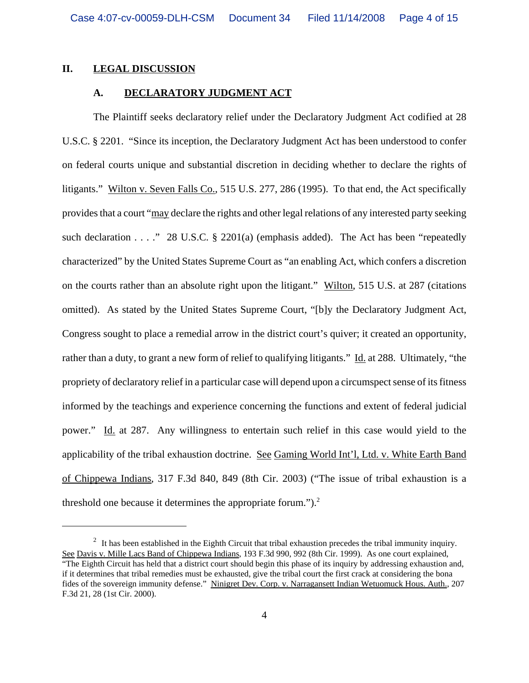### **II. LEGAL DISCUSSION**

### **A. DECLARATORY JUDGMENT ACT**

The Plaintiff seeks declaratory relief under the Declaratory Judgment Act codified at 28 U.S.C. § 2201. "Since its inception, the Declaratory Judgment Act has been understood to confer on federal courts unique and substantial discretion in deciding whether to declare the rights of litigants." Wilton v. Seven Falls Co., 515 U.S. 277, 286 (1995). To that end, the Act specifically provides that a court "may declare the rights and other legal relations of any interested party seeking such declaration  $\ldots$  ." 28 U.S.C. § 2201(a) (emphasis added). The Act has been "repeatedly characterized" by the United States Supreme Court as "an enabling Act, which confers a discretion on the courts rather than an absolute right upon the litigant." Wilton, 515 U.S. at 287 (citations omitted). As stated by the United States Supreme Court, "[b]y the Declaratory Judgment Act, Congress sought to place a remedial arrow in the district court's quiver; it created an opportunity, rather than a duty, to grant a new form of relief to qualifying litigants." Id. at 288. Ultimately, "the propriety of declaratory relief in a particular case will depend upon a circumspect sense of its fitness informed by the teachings and experience concerning the functions and extent of federal judicial power." Id. at 287. Any willingness to entertain such relief in this case would yield to the applicability of the tribal exhaustion doctrine. See Gaming World Int'l, Ltd. v. White Earth Band of Chippewa Indians, 317 F.3d 840, 849 (8th Cir. 2003) ("The issue of tribal exhaustion is a threshold one because it determines the appropriate forum." $)$ .<sup>2</sup>

 $2\;$  It has been established in the Eighth Circuit that tribal exhaustion precedes the tribal immunity inquiry. See Davis v. Mille Lacs Band of Chippewa Indians, 193 F.3d 990, 992 (8th Cir. 1999). As one court explained, "The Eighth Circuit has held that a district court should begin this phase of its inquiry by addressing exhaustion and, if it determines that tribal remedies must be exhausted, give the tribal court the first crack at considering the bona fides of the sovereign immunity defense." Ninigret Dev. Corp. v. Narragansett Indian Wetuomuck Hous. Auth., 207 F.3d 21, 28 (1st Cir. 2000).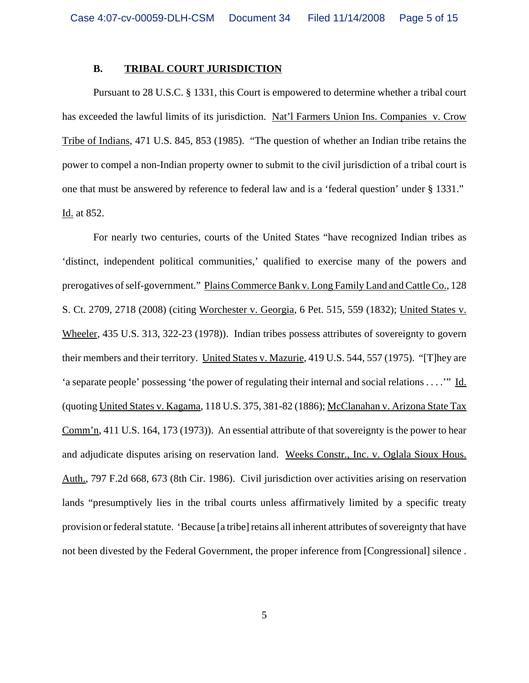## **B. TRIBAL COURT JURISDICTION**

Pursuant to 28 U.S.C. § 1331, this Court is empowered to determine whether a tribal court has exceeded the lawful limits of its jurisdiction. Nat'l Farmers Union Ins. Companies v. Crow Tribe of Indians, 471 U.S. 845, 853 (1985). "The question of whether an Indian tribe retains the power to compel a non-Indian property owner to submit to the civil jurisdiction of a tribal court is one that must be answered by reference to federal law and is a 'federal question' under § 1331." Id. at 852.

For nearly two centuries, courts of the United States "have recognized Indian tribes as 'distinct, independent political communities,' qualified to exercise many of the powers and prerogatives of self-government." Plains Commerce Bank v. Long Family Land and Cattle Co., 128 S. Ct. 2709, 2718 (2008) (citing Worchester v. Georgia, 6 Pet. 515, 559 (1832); United States v. Wheeler, 435 U.S. 313, 322-23 (1978)). Indian tribes possess attributes of sovereignty to govern their members and their territory. United States v. Mazurie, 419 U.S. 544, 557 (1975). "[T]hey are 'a separate people' possessing 'the power of regulating their internal and social relations . . . .'" Id. (quoting United States v. Kagama, 118 U.S. 375, 381-82 (1886); McClanahan v. Arizona State Tax Comm'n, 411 U.S. 164, 173 (1973)). An essential attribute of that sovereignty is the power to hear and adjudicate disputes arising on reservation land. Weeks Constr., Inc. v. Oglala Sioux Hous. Auth., 797 F.2d 668, 673 (8th Cir. 1986). Civil jurisdiction over activities arising on reservation lands "presumptively lies in the tribal courts unless affirmatively limited by a specific treaty provision or federal statute. 'Because [a tribe] retains all inherent attributes of sovereignty that have not been divested by the Federal Government, the proper inference from [Congressional] silence .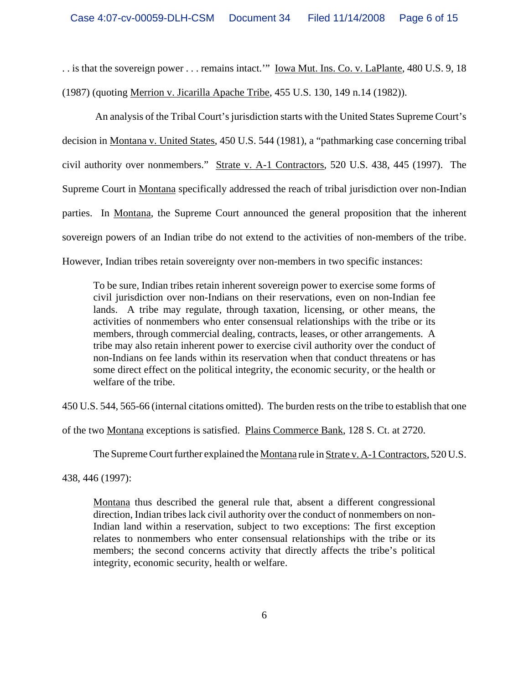. is that the sovereign power . . . remains intact." <u>Iowa Mut. Ins. Co. v. LaPlante</u>, 480 U.S. 9, 18 (1987) (quoting Merrion v. Jicarilla Apache Tribe, 455 U.S. 130, 149 n.14 (1982)).

 An analysis of the Tribal Court's jurisdiction starts with the United States Supreme Court's decision in Montana v. United States, 450 U.S. 544 (1981), a "pathmarking case concerning tribal civil authority over nonmembers." Strate v. A-1 Contractors, 520 U.S. 438, 445 (1997). The Supreme Court in Montana specifically addressed the reach of tribal jurisdiction over non-Indian parties. In Montana, the Supreme Court announced the general proposition that the inherent sovereign powers of an Indian tribe do not extend to the activities of non-members of the tribe. However, Indian tribes retain sovereignty over non-members in two specific instances:

To be sure, Indian tribes retain inherent sovereign power to exercise some forms of civil jurisdiction over non-Indians on their reservations, even on non-Indian fee lands. A tribe may regulate, through taxation, licensing, or other means, the activities of nonmembers who enter consensual relationships with the tribe or its members, through commercial dealing, contracts, leases, or other arrangements. A tribe may also retain inherent power to exercise civil authority over the conduct of non-Indians on fee lands within its reservation when that conduct threatens or has some direct effect on the political integrity, the economic security, or the health or welfare of the tribe.

450 U.S. 544, 565-66 (internal citations omitted). The burden rests on the tribe to establish that one

of the two Montana exceptions is satisfied. Plains Commerce Bank, 128 S. Ct. at 2720.

The Supreme Court further explained the <u>Montana</u> rule in Strate v. A-1 Contractors, 520 U.S.

438, 446 (1997):

Montana thus described the general rule that, absent a different congressional direction, Indian tribes lack civil authority over the conduct of nonmembers on non-Indian land within a reservation, subject to two exceptions: The first exception relates to nonmembers who enter consensual relationships with the tribe or its members; the second concerns activity that directly affects the tribe's political integrity, economic security, health or welfare.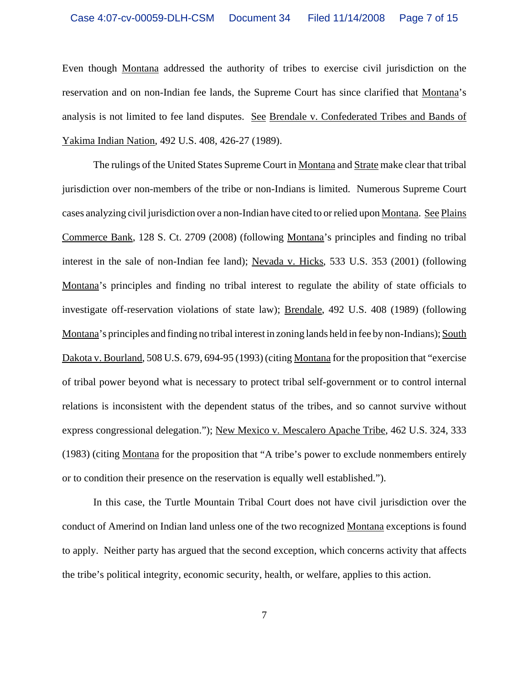Even though Montana addressed the authority of tribes to exercise civil jurisdiction on the reservation and on non-Indian fee lands, the Supreme Court has since clarified that Montana's analysis is not limited to fee land disputes. See Brendale v. Confederated Tribes and Bands of Yakima Indian Nation, 492 U.S. 408, 426-27 (1989).

The rulings of the United States Supreme Court in Montana and Strate make clear that tribal jurisdiction over non-members of the tribe or non-Indians is limited. Numerous Supreme Court cases analyzing civil jurisdiction over a non-Indian have cited to or relied upon Montana. See Plains Commerce Bank, 128 S. Ct. 2709 (2008) (following Montana's principles and finding no tribal interest in the sale of non-Indian fee land); Nevada v. Hicks, 533 U.S. 353 (2001) (following Montana's principles and finding no tribal interest to regulate the ability of state officials to investigate off-reservation violations of state law); Brendale, 492 U.S. 408 (1989) (following Montana's principles and finding no tribal interest in zoning lands held in fee by non-Indians); South Dakota v. Bourland, 508 U.S. 679, 694-95 (1993) (citing Montana for the proposition that "exercise of tribal power beyond what is necessary to protect tribal self-government or to control internal relations is inconsistent with the dependent status of the tribes, and so cannot survive without express congressional delegation."); New Mexico v. Mescalero Apache Tribe, 462 U.S. 324, 333 (1983) (citing Montana for the proposition that "A tribe's power to exclude nonmembers entirely or to condition their presence on the reservation is equally well established.").

In this case, the Turtle Mountain Tribal Court does not have civil jurisdiction over the conduct of Amerind on Indian land unless one of the two recognized Montana exceptions is found to apply. Neither party has argued that the second exception, which concerns activity that affects the tribe's political integrity, economic security, health, or welfare, applies to this action.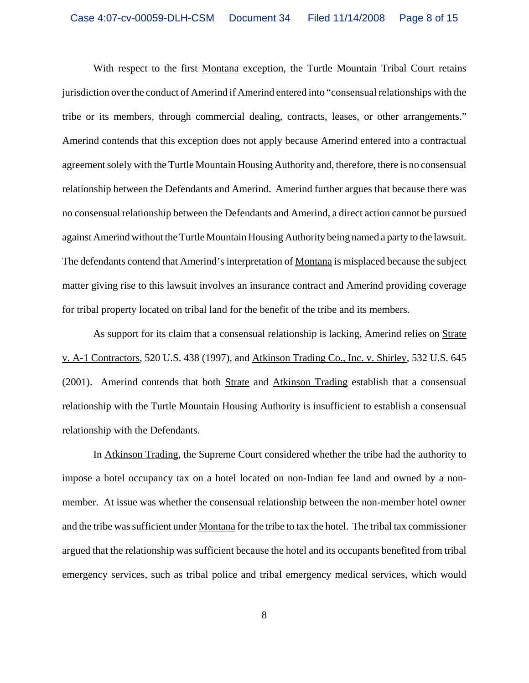With respect to the first Montana exception, the Turtle Mountain Tribal Court retains jurisdiction over the conduct of Amerind if Amerind entered into "consensual relationships with the tribe or its members, through commercial dealing, contracts, leases, or other arrangements." Amerind contends that this exception does not apply because Amerind entered into a contractual agreement solely with the Turtle Mountain Housing Authority and, therefore, there is no consensual relationship between the Defendants and Amerind. Amerind further argues that because there was no consensual relationship between the Defendants and Amerind, a direct action cannot be pursued against Amerind without the Turtle Mountain Housing Authority being named a party to the lawsuit. The defendants contend that Amerind's interpretation of Montana is misplaced because the subject matter giving rise to this lawsuit involves an insurance contract and Amerind providing coverage for tribal property located on tribal land for the benefit of the tribe and its members.

As support for its claim that a consensual relationship is lacking, Amerind relies on Strate v. A-1 Contractors, 520 U.S. 438 (1997), and Atkinson Trading Co., Inc. v. Shirley, 532 U.S. 645 (2001). Amerind contends that both Strate and Atkinson Trading establish that a consensual relationship with the Turtle Mountain Housing Authority is insufficient to establish a consensual relationship with the Defendants.

In Atkinson Trading, the Supreme Court considered whether the tribe had the authority to impose a hotel occupancy tax on a hotel located on non-Indian fee land and owned by a nonmember. At issue was whether the consensual relationship between the non-member hotel owner and the tribe was sufficient under Montana for the tribe to tax the hotel. The tribal tax commissioner argued that the relationship was sufficient because the hotel and its occupants benefited from tribal emergency services, such as tribal police and tribal emergency medical services, which would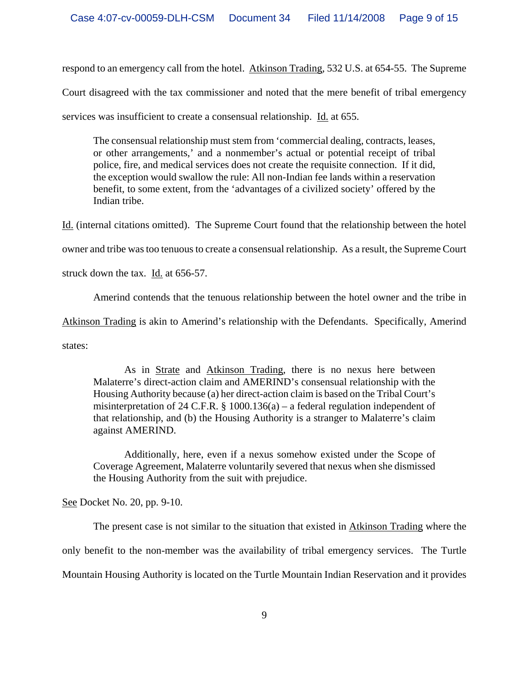respond to an emergency call from the hotel. Atkinson Trading, 532 U.S. at 654-55. The Supreme

Court disagreed with the tax commissioner and noted that the mere benefit of tribal emergency

services was insufficient to create a consensual relationship. Id. at 655.

The consensual relationship must stem from 'commercial dealing, contracts, leases, or other arrangements,' and a nonmember's actual or potential receipt of tribal police, fire, and medical services does not create the requisite connection. If it did, the exception would swallow the rule: All non-Indian fee lands within a reservation benefit, to some extent, from the 'advantages of a civilized society' offered by the Indian tribe.

Id. (internal citations omitted). The Supreme Court found that the relationship between the hotel

owner and tribe was too tenuous to create a consensual relationship. As a result, the Supreme Court

struck down the tax. Id. at 656-57.

Amerind contends that the tenuous relationship between the hotel owner and the tribe in

Atkinson Trading is akin to Amerind's relationship with the Defendants. Specifically, Amerind

states:

As in Strate and Atkinson Trading, there is no nexus here between Malaterre's direct-action claim and AMERIND's consensual relationship with the Housing Authority because (a) her direct-action claim is based on the Tribal Court's misinterpretation of 24 C.F.R.  $\S$  1000.136(a) – a federal regulation independent of that relationship, and (b) the Housing Authority is a stranger to Malaterre's claim against AMERIND.

Additionally, here, even if a nexus somehow existed under the Scope of Coverage Agreement, Malaterre voluntarily severed that nexus when she dismissed the Housing Authority from the suit with prejudice.

See Docket No. 20, pp. 9-10.

The present case is not similar to the situation that existed in Atkinson Trading where the only benefit to the non-member was the availability of tribal emergency services. The Turtle Mountain Housing Authority is located on the Turtle Mountain Indian Reservation and it provides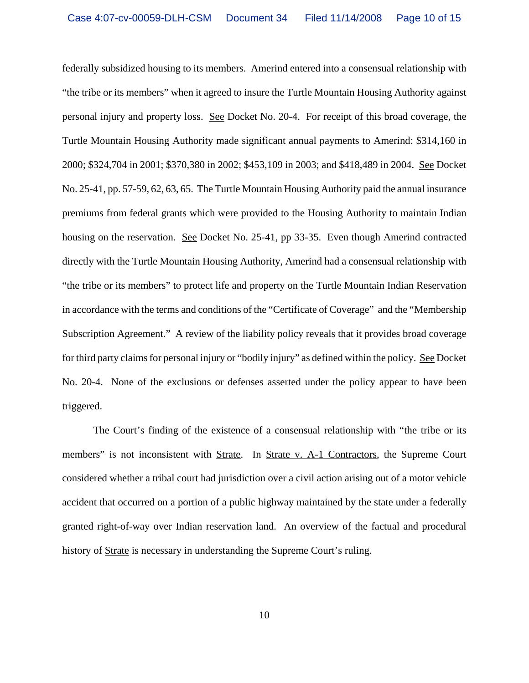federally subsidized housing to its members. Amerind entered into a consensual relationship with "the tribe or its members" when it agreed to insure the Turtle Mountain Housing Authority against personal injury and property loss. See Docket No. 20-4. For receipt of this broad coverage, the Turtle Mountain Housing Authority made significant annual payments to Amerind: \$314,160 in 2000; \$324,704 in 2001; \$370,380 in 2002; \$453,109 in 2003; and \$418,489 in 2004. See Docket No. 25-41, pp. 57-59, 62, 63, 65. The Turtle Mountain Housing Authority paid the annual insurance premiums from federal grants which were provided to the Housing Authority to maintain Indian housing on the reservation. See Docket No. 25-41, pp 33-35. Even though Amerind contracted directly with the Turtle Mountain Housing Authority, Amerind had a consensual relationship with "the tribe or its members" to protect life and property on the Turtle Mountain Indian Reservation in accordance with the terms and conditions of the "Certificate of Coverage" and the "Membership Subscription Agreement." A review of the liability policy reveals that it provides broad coverage for third party claims for personal injury or "bodily injury" as defined within the policy. See Docket No. 20-4. None of the exclusions or defenses asserted under the policy appear to have been triggered.

The Court's finding of the existence of a consensual relationship with "the tribe or its members" is not inconsistent with Strate. In Strate v. A-1 Contractors, the Supreme Court considered whether a tribal court had jurisdiction over a civil action arising out of a motor vehicle accident that occurred on a portion of a public highway maintained by the state under a federally granted right-of-way over Indian reservation land. An overview of the factual and procedural history of Strate is necessary in understanding the Supreme Court's ruling.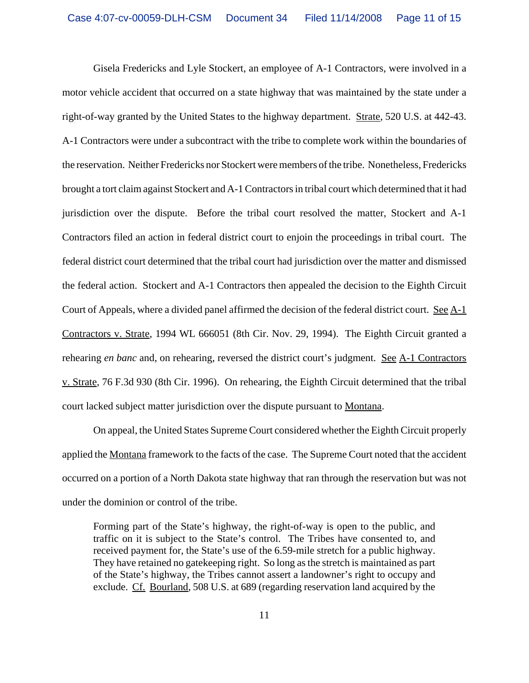Gisela Fredericks and Lyle Stockert, an employee of A-1 Contractors, were involved in a motor vehicle accident that occurred on a state highway that was maintained by the state under a right-of-way granted by the United States to the highway department. Strate, 520 U.S. at 442-43. A-1 Contractors were under a subcontract with the tribe to complete work within the boundaries of the reservation. Neither Fredericks nor Stockert were members of the tribe. Nonetheless, Fredericks brought a tort claim against Stockert and A-1 Contractors in tribal court which determined that it had jurisdiction over the dispute. Before the tribal court resolved the matter, Stockert and A-1 Contractors filed an action in federal district court to enjoin the proceedings in tribal court. The federal district court determined that the tribal court had jurisdiction over the matter and dismissed the federal action. Stockert and A-1 Contractors then appealed the decision to the Eighth Circuit Court of Appeals, where a divided panel affirmed the decision of the federal district court. See A-1 Contractors v. Strate, 1994 WL 666051 (8th Cir. Nov. 29, 1994). The Eighth Circuit granted a rehearing *en banc* and, on rehearing, reversed the district court's judgment. See A-1 Contractors v. Strate, 76 F.3d 930 (8th Cir. 1996). On rehearing, the Eighth Circuit determined that the tribal court lacked subject matter jurisdiction over the dispute pursuant to Montana.

On appeal, the United States Supreme Court considered whether the Eighth Circuit properly applied the Montana framework to the facts of the case. The Supreme Court noted that the accident occurred on a portion of a North Dakota state highway that ran through the reservation but was not under the dominion or control of the tribe.

Forming part of the State's highway, the right-of-way is open to the public, and traffic on it is subject to the State's control. The Tribes have consented to, and received payment for, the State's use of the 6.59-mile stretch for a public highway. They have retained no gatekeeping right. So long as the stretch is maintained as part of the State's highway, the Tribes cannot assert a landowner's right to occupy and exclude. Cf. Bourland, 508 U.S. at 689 (regarding reservation land acquired by the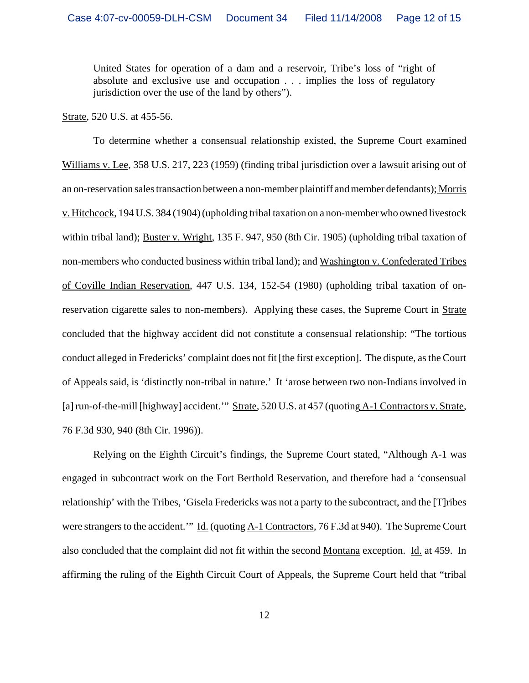United States for operation of a dam and a reservoir, Tribe's loss of "right of absolute and exclusive use and occupation . . . implies the loss of regulatory jurisdiction over the use of the land by others").

Strate, 520 U.S. at 455-56.

To determine whether a consensual relationship existed, the Supreme Court examined Williams v. Lee, 358 U.S. 217, 223 (1959) (finding tribal jurisdiction over a lawsuit arising out of an on-reservation sales transaction between a non-member plaintiff and member defendants); Morris v. Hitchcock, 194 U.S. 384 (1904) (upholding tribal taxation on a non-member who owned livestock within tribal land); Buster v. Wright, 135 F. 947, 950 (8th Cir. 1905) (upholding tribal taxation of non-members who conducted business within tribal land); and Washington v. Confederated Tribes of Coville Indian Reservation, 447 U.S. 134, 152-54 (1980) (upholding tribal taxation of onreservation cigarette sales to non-members). Applying these cases, the Supreme Court in Strate concluded that the highway accident did not constitute a consensual relationship: "The tortious conduct alleged in Fredericks' complaint does not fit [the first exception]. The dispute, as the Court of Appeals said, is 'distinctly non-tribal in nature.' It 'arose between two non-Indians involved in [a] run-of-the-mill [highway] accident." Strate, 520 U.S. at 457 (quoting A-1 Contractors v. Strate, 76 F.3d 930, 940 (8th Cir. 1996)).

Relying on the Eighth Circuit's findings, the Supreme Court stated, "Although A-1 was engaged in subcontract work on the Fort Berthold Reservation, and therefore had a 'consensual relationship' with the Tribes, 'Gisela Fredericks was not a party to the subcontract, and the [T]ribes were strangers to the accident.'" Id. (quoting A-1 Contractors, 76 F.3d at 940). The Supreme Court also concluded that the complaint did not fit within the second Montana exception. Id. at 459. In affirming the ruling of the Eighth Circuit Court of Appeals, the Supreme Court held that "tribal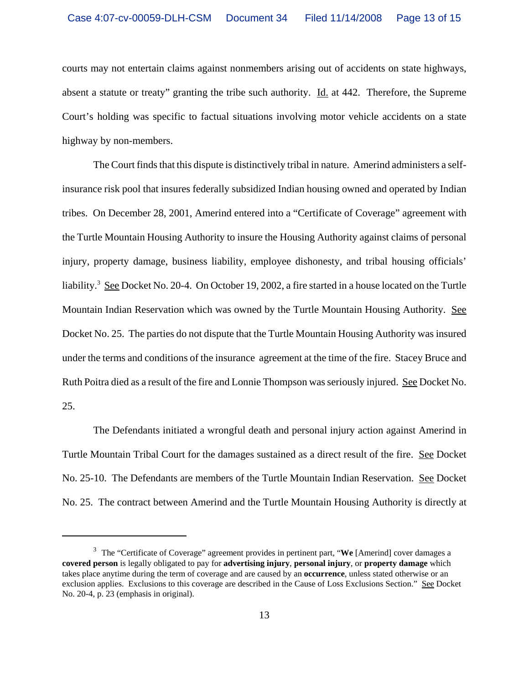courts may not entertain claims against nonmembers arising out of accidents on state highways, absent a statute or treaty" granting the tribe such authority. Id. at 442. Therefore, the Supreme Court's holding was specific to factual situations involving motor vehicle accidents on a state highway by non-members.

The Court finds that this dispute is distinctively tribal in nature. Amerind administers a selfinsurance risk pool that insures federally subsidized Indian housing owned and operated by Indian tribes. On December 28, 2001, Amerind entered into a "Certificate of Coverage" agreement with the Turtle Mountain Housing Authority to insure the Housing Authority against claims of personal injury, property damage, business liability, employee dishonesty, and tribal housing officials' liability.<sup>3</sup> See Docket No. 20-4. On October 19, 2002, a fire started in a house located on the Turtle Mountain Indian Reservation which was owned by the Turtle Mountain Housing Authority. See Docket No. 25. The parties do not dispute that the Turtle Mountain Housing Authority was insured under the terms and conditions of the insurance agreement at the time of the fire. Stacey Bruce and Ruth Poitra died as a result of the fire and Lonnie Thompson was seriously injured. See Docket No. 25.

The Defendants initiated a wrongful death and personal injury action against Amerind in Turtle Mountain Tribal Court for the damages sustained as a direct result of the fire. See Docket No. 25-10. The Defendants are members of the Turtle Mountain Indian Reservation. See Docket No. 25. The contract between Amerind and the Turtle Mountain Housing Authority is directly at

<sup>3</sup> The "Certificate of Coverage" agreement provides in pertinent part, "**We** [Amerind] cover damages a **covered person** is legally obligated to pay for **advertising injury**, **personal injury**, or **property damage** which takes place anytime during the term of coverage and are caused by an **occurrence**, unless stated otherwise or an exclusion applies. Exclusions to this coverage are described in the Cause of Loss Exclusions Section." See Docket No. 20-4, p. 23 (emphasis in original).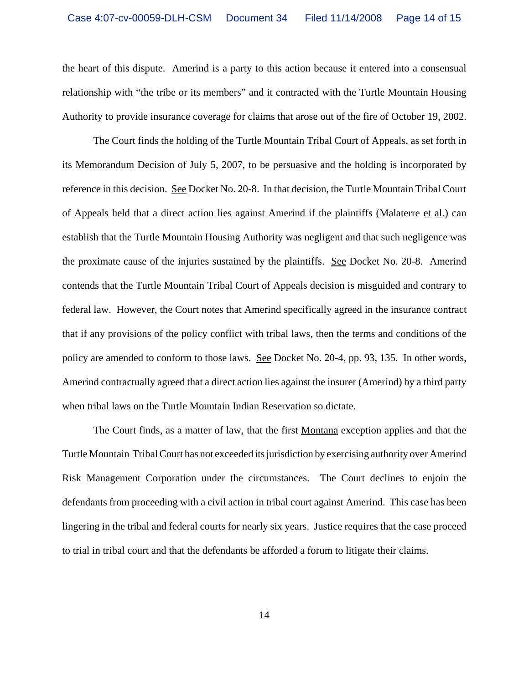the heart of this dispute. Amerind is a party to this action because it entered into a consensual relationship with "the tribe or its members" and it contracted with the Turtle Mountain Housing Authority to provide insurance coverage for claims that arose out of the fire of October 19, 2002.

The Court finds the holding of the Turtle Mountain Tribal Court of Appeals, as set forth in its Memorandum Decision of July 5, 2007, to be persuasive and the holding is incorporated by reference in this decision. See Docket No. 20-8. In that decision, the Turtle Mountain Tribal Court of Appeals held that a direct action lies against Amerind if the plaintiffs (Malaterre et al.) can establish that the Turtle Mountain Housing Authority was negligent and that such negligence was the proximate cause of the injuries sustained by the plaintiffs. See Docket No. 20-8. Amerind contends that the Turtle Mountain Tribal Court of Appeals decision is misguided and contrary to federal law. However, the Court notes that Amerind specifically agreed in the insurance contract that if any provisions of the policy conflict with tribal laws, then the terms and conditions of the policy are amended to conform to those laws. See Docket No. 20-4, pp. 93, 135. In other words, Amerind contractually agreed that a direct action lies against the insurer (Amerind) by a third party when tribal laws on the Turtle Mountain Indian Reservation so dictate.

The Court finds, as a matter of law, that the first Montana exception applies and that the Turtle Mountain Tribal Court has not exceeded its jurisdiction by exercising authority over Amerind Risk Management Corporation under the circumstances. The Court declines to enjoin the defendants from proceeding with a civil action in tribal court against Amerind. This case has been lingering in the tribal and federal courts for nearly six years. Justice requires that the case proceed to trial in tribal court and that the defendants be afforded a forum to litigate their claims.